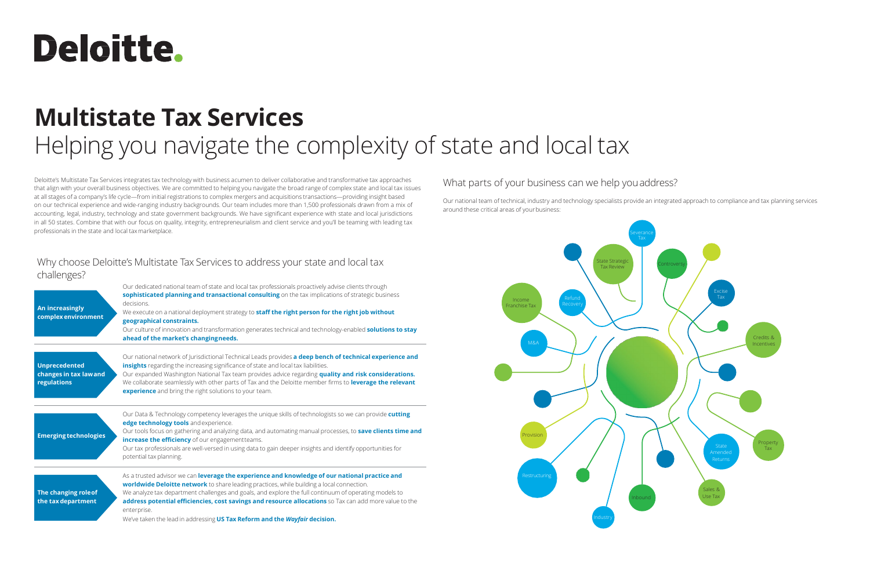# **Deloitte.**

## **Multistate Tax Services** Helping you navigate the complexity of state and local tax

Deloitte's Multistate Tax Services integrates tax technology with business acumen to deliver collaborative and transformative tax approaches that align with your overall business objectives. We are committed to helping you navigate the broad range of complex state and local tax issues at all stages of a company's life cycle—from initial registrations to complex mergers and acquisitions transactions—providing insight based on our technical experience and wide-ranging industry backgrounds. Our team includes more than 1,500 professionals drawn from a mix of accounting, legal, industry, technology and state government backgrounds. We have significant experience with state and local jurisdictions in all 50 states. Combine that with our focus on quality, integrity, entrepreneurialism and client service and you'll be teaming with leading tax professionals in the state and local taxmarketplace.

### Why choose Deloitte's Multistate Tax Services to address your state and local tax challenges?

Our national team of technical, industry and technology specialists provide an integrated approach to compliance and tax planning services around these critical areas of your business:

| $\check{ }$<br>An increasingly<br>complex environment        | Our dedicated national team of state and local tax professionals proactively advise clients through<br>sophisticated planning and transactional consulting on the tax implications of strategic business<br>decisions.<br>We execute on a national deployment strategy to staff the right person for the right job without<br>geographical constraints.<br>Our culture of innovation and transformation generates technical and technology-enabled solutions to stay<br>ahead of the market's changingneeds. |
|--------------------------------------------------------------|--------------------------------------------------------------------------------------------------------------------------------------------------------------------------------------------------------------------------------------------------------------------------------------------------------------------------------------------------------------------------------------------------------------------------------------------------------------------------------------------------------------|
| <b>Unprecedented</b><br>changes in tax lawand<br>regulations | Our national network of Jurisdictional Technical Leads provides a deep bench of technical experience and<br>insights regarding the increasing significance of state and local tax liabilities.<br>Our expanded Washington National Tax team provides advice regarding quality and risk considerations.<br>We collaborate seamlessly with other parts of Tax and the Deloitte member firms to leverage the relevant<br>experience and bring the right solutions to your team.                                 |
| <b>Emerging technologies</b>                                 | Our Data & Technology competency leverages the unique skills of technologists so we can provide cutting<br>edge technology tools and experience.<br>Our tools focus on gathering and analyzing data, and automating manual processes, to save clients time and<br>increase the efficiency of our engagementteams.<br>Our tax professionals are well-versed in using data to gain deeper insights and identify opportunities for<br>potential tax planning.                                                   |
| The changing role of<br>the tax department                   | As a trusted advisor we can leverage the experience and knowledge of our national practice and<br>worldwide Deloitte network to share leading practices, while building a local connection.<br>We analyze tax department challenges and goals, and explore the full continuum of operating models to<br>address potential efficiencies, cost savings and resource allocations so Tax can add more value to the<br>enterprise.<br>We've taken the lead in addressing US Tax Reform and the Wayfair decision.  |



### What parts of your business can we help youaddress?